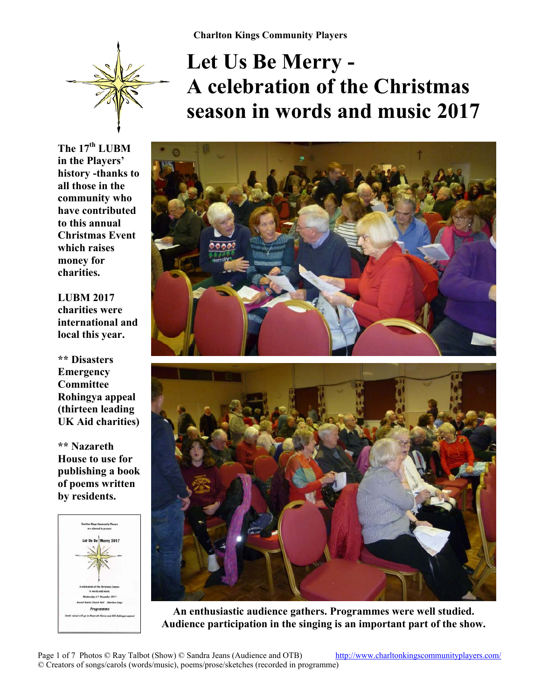

# **Let Us Be Merry - A celebration of the Christmas season in words and music 2017**

The 17<sup>th</sup> LUBM **in the Players' history -thanks to all those in the community who have contributed to this annual Christmas Event which raises money for charities.** 

**LUBM 2017 charities were international and local this year.** 

**\*\* Disasters Emergency Committee Rohingya appeal (thirteen leading UK Aid charities)** 

**\*\* Nazareth House to use for publishing a book of poems written by residents.** 







**An enthusiastic audience gathers. Programmes were well studied. Audience participation in the singing is an important part of the show.**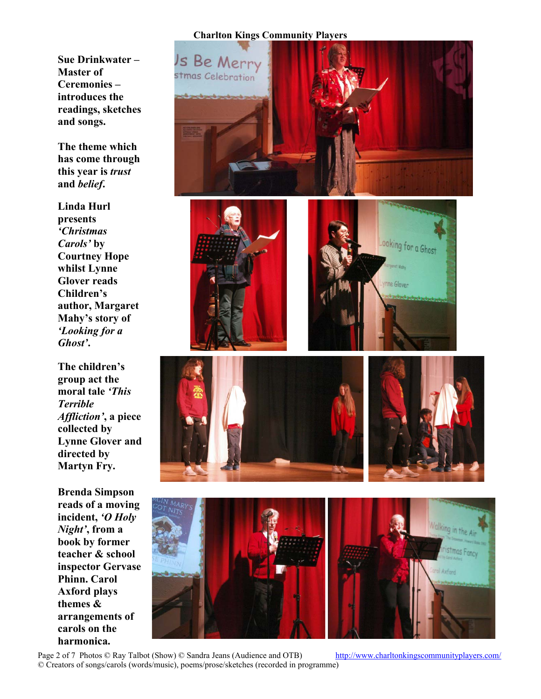**Sue Drinkwater – Master of Ceremonies – introduces the readings, sketches and songs.** 

**The theme which has come through this year is** *trust* **and** *belief***.** 

**Linda Hurl presents**  *'Christmas Carols'* **by Courtney Hope whilst Lynne Glover reads Children's author, Margaret Mahy's story of**  *'Looking for a* 

**The children's group act the moral tale** *'This Terrible Affliction'***, a piece collected by Lynne Glover and directed by Martyn Fry.** 

**Brenda Simpson reads of a moving incident,** *'O Holy Night'***, from a book by former teacher & school inspector Gervase Phinn. Carol Axford plays themes & arrangements of carols on the harmonica.** 



Page 2 of 7 Photos © Ray Talbot (Show) © Sandra Jeans (Audience and OTB) http://www.charltonkingscommunityplayers.com/ © Creators of songs/carols (words/music), poems/prose/sketches (recorded in programme)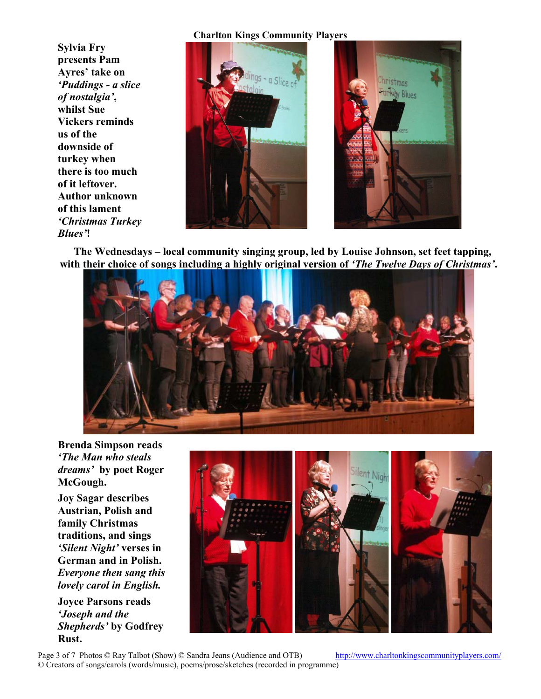**Sylvia Fry presents Pam Ayres' take on**  *'Puddings - a slice of nostalgia'***, whilst Sue Vickers reminds us of the downside of turkey when there is too much of it leftover. Author unknown of this lament**  *'Christmas Turkey Blues'***!** 



 **The Wednesdays – local community singing group, led by Louise Johnson, set feet tapping, with their choice of songs including a highly original version of** *'The Twelve Days of Christmas'***.** 



**Brenda Simpson reads** *'The Man who steals dreams'* **by poet Roger McGough.** 

**Joy Sagar describes Austrian, Polish and family Christmas traditions, and sings**  *'Silent Night'* **verses in German and in Polish.**  *Everyone then sang this lovely carol in English.* 

**Joyce Parsons reads**  *'Joseph and the Shepherds'* **by Godfrey Rust.** 



Page 3 of 7 Photos © Ray Talbot (Show) © Sandra Jeans (Audience and OTB) http://www.charltonkingscommunityplayers.com/ © Creators of songs/carols (words/music), poems/prose/sketches (recorded in programme)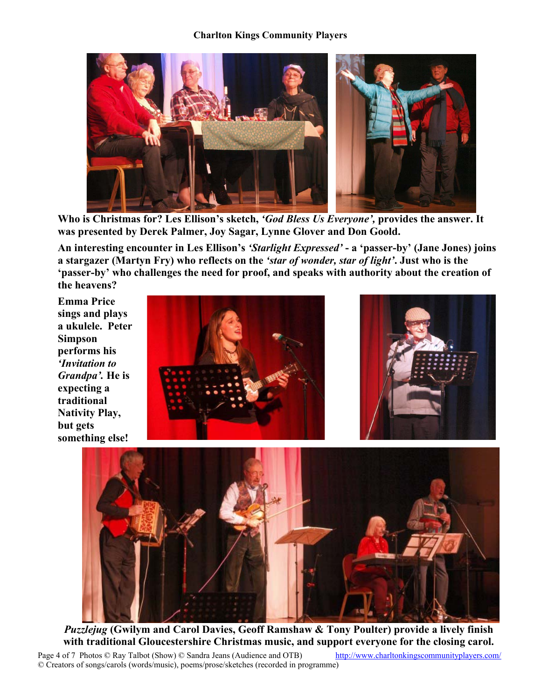

 **Who is Christmas for? Les Ellison's sketch,** *'God Bless Us Everyone',* **provides the answer. It was presented by Derek Palmer, Joy Sagar, Lynne Glover and Don Goold.** 

**An interesting encounter in Les Ellison's** *'Starlight Expressed'* **- a 'passer-by' (Jane Jones) joins a stargazer (Martyn Fry) who reflects on the** *'star of wonder, star of light'***. Just who is the 'passer-by' who challenges the need for proof, and speaks with authority about the creation of the heavens?** 

**Emma Price sings and plays a ukulele. Peter Simpson performs his**  *'Invitation to Grandpa'.* **He is expecting a traditional Nativity Play, but gets something else!** 







*Puzzlejug* **(Gwilym and Carol Davies, Geoff Ramshaw & Tony Poulter) provide a lively finish with traditional Gloucestershire Christmas music, and support everyone for the closing carol.**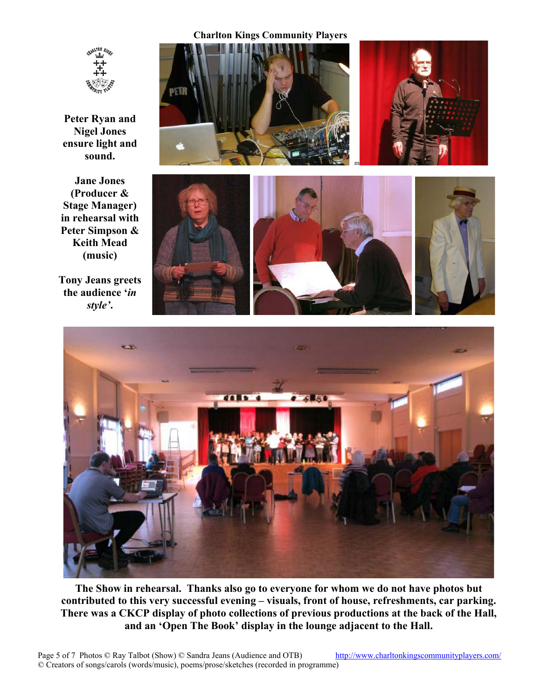

**Peter Ryan and Nigel Jones ensure light and sound.** 

**Jane Jones (Producer & Stage Manager) in rehearsal with Peter Simpson & Keith Mead (music)** 

**Tony Jeans greets the audience '***in style'***.** 







**The Show in rehearsal. Thanks also go to everyone for whom we do not have photos but contributed to this very successful evening – visuals, front of house, refreshments, car parking. There was a CKCP display of photo collections of previous productions at the back of the Hall, and an 'Open The Book' display in the lounge adjacent to the Hall.**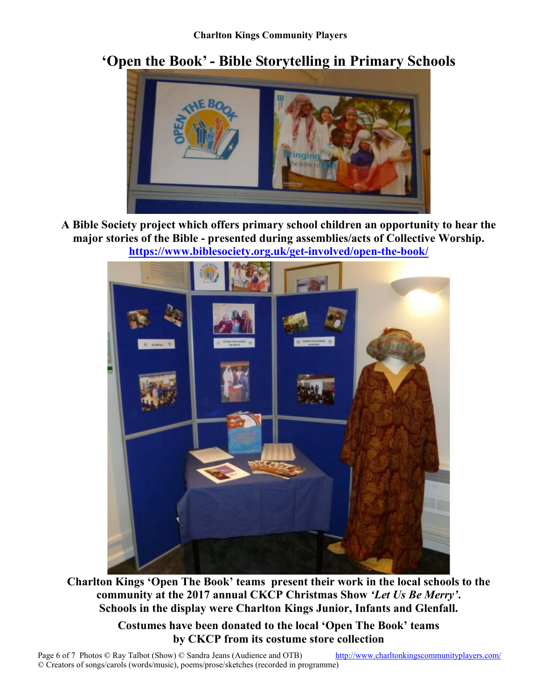# **'Open the Book' - Bible Storytelling in Primary Schools**



**A Bible Society project which offers primary school children an opportunity to hear the major stories of the Bible - presented during assemblies/acts of Collective Worship. https://www.biblesociety.org.uk/get-involved/open-the-book/**



**Charlton Kings 'Open The Book' teams present their work in the local schools to the community at the 2017 annual CKCP Christmas Show** *'Let Us Be Merry'***. Schools in the display were Charlton Kings Junior, Infants and Glenfall.** 

> **Costumes have been donated to the local 'Open The Book' teams by CKCP from its costume store collection**